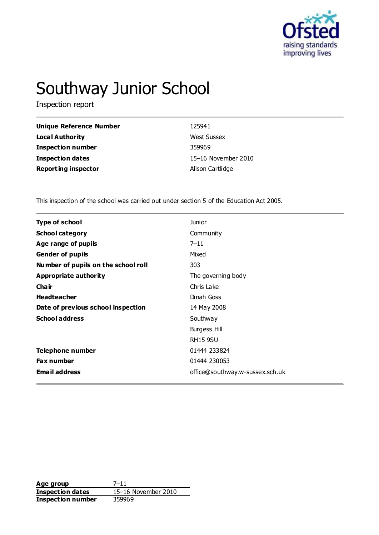

# Southway Junior School

Inspection report

| <b>Unique Reference Number</b> | 125941              |
|--------------------------------|---------------------|
| <b>Local Authority</b>         | <b>West Sussex</b>  |
| <b>Inspection number</b>       | 359969              |
| <b>Inspection dates</b>        | 15-16 November 2010 |
| <b>Reporting inspector</b>     | Alison Cartlidge    |

This inspection of the school was carried out under section 5 of the Education Act 2005.

| <b>Type of school</b>               | <b>Junior</b>                   |
|-------------------------------------|---------------------------------|
| <b>School category</b>              | Community                       |
| Age range of pupils                 | $7 - 11$                        |
| <b>Gender of pupils</b>             | Mixed                           |
| Number of pupils on the school roll | 303                             |
| <b>Appropriate authority</b>        | The governing body              |
| Cha ir                              | Chris Lake                      |
| <b>Headteacher</b>                  | Dinah Goss                      |
| Date of previous school inspection  | 14 May 2008                     |
| <b>School address</b>               | Southway                        |
|                                     | <b>Burgess Hill</b>             |
|                                     | <b>RH15 9SU</b>                 |
| <b>Telephone number</b>             | 01444 233824                    |
| <b>Fax number</b>                   | 01444 230053                    |
| <b>Email address</b>                | office@southway.w-sussex.sch.uk |

**Age group** 7–11 **Inspection dates** 15–16 November 2010 **Inspection number** 359969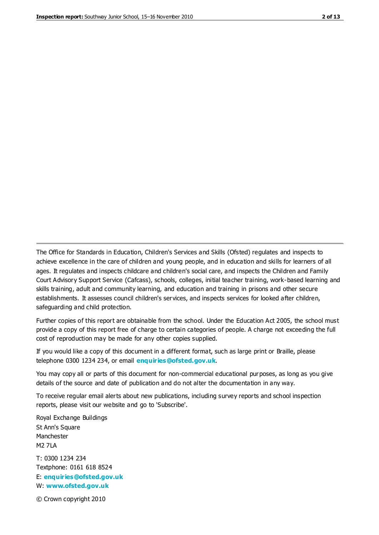The Office for Standards in Education, Children's Services and Skills (Ofsted) regulates and inspects to achieve excellence in the care of children and young people, and in education and skills for learners of all ages. It regulates and inspects childcare and children's social care, and inspects the Children and Family Court Advisory Support Service (Cafcass), schools, colleges, initial teacher training, work-based learning and skills training, adult and community learning, and education and training in prisons and other secure establishments. It assesses council children's services, and inspects services for looked after children, safeguarding and child protection.

Further copies of this report are obtainable from the school. Under the Education Act 2005, the school must provide a copy of this report free of charge to certain categories of people. A charge not exceeding the full cost of reproduction may be made for any other copies supplied.

If you would like a copy of this document in a different format, such as large print or Braille, please telephone 0300 1234 234, or email **[enquiries@ofsted.gov.uk](mailto:enquiries@ofsted.gov.uk)**.

You may copy all or parts of this document for non-commercial educational purposes, as long as you give details of the source and date of publication and do not alter the documentation in any way.

To receive regular email alerts about new publications, including survey reports and school inspection reports, please visit our website and go to 'Subscribe'.

Royal Exchange Buildings St Ann's Square Manchester M2 7LA T: 0300 1234 234 Textphone: 0161 618 8524 E: **[enquiries@ofsted.gov.uk](mailto:enquiries@ofsted.gov.uk)**

W: **[www.ofsted.gov.uk](http://www.ofsted.gov.uk/)**

© Crown copyright 2010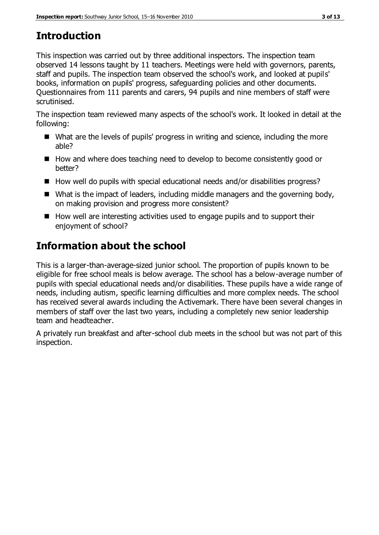# **Introduction**

This inspection was carried out by three additional inspectors. The inspection team observed 14 lessons taught by 11 teachers. Meetings were held with governors, parents, staff and pupils. The inspection team observed the school's work, and looked at pupils' books, information on pupils' progress, safeguarding policies and other documents. Questionnaires from 111 parents and carers, 94 pupils and nine members of staff were scrutinised.

The inspection team reviewed many aspects of the school's work. It looked in detail at the following:

- What are the levels of pupils' progress in writing and science, including the more able?
- How and where does teaching need to develop to become consistently good or better?
- $\blacksquare$  How well do pupils with special educational needs and/or disabilities progress?
- What is the impact of leaders, including middle managers and the governing body, on making provision and progress more consistent?
- $\blacksquare$  How well are interesting activities used to engage pupils and to support their enjoyment of school?

# **Information about the school**

This is a larger-than-average-sized junior school. The proportion of pupils known to be eligible for free school meals is below average. The school has a below-average number of pupils with special educational needs and/or disabilities. These pupils have a wide range of needs, including autism, specific learning difficulties and more complex needs. The school has received several awards including the Activemark. There have been several changes in members of staff over the last two years, including a completely new senior leadership team and headteacher.

A privately run breakfast and after-school club meets in the school but was not part of this inspection.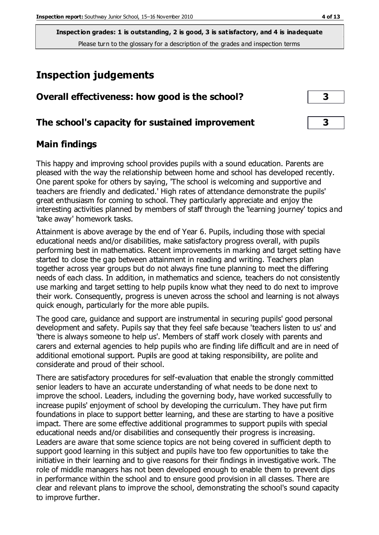# **Inspection judgements**

| Overall effectiveness: how good is the school?  |  |
|-------------------------------------------------|--|
| The school's capacity for sustained improvement |  |

# **Main findings**

This happy and improving school provides pupils with a sound education. Parents are pleased with the way the relationship between home and school has developed recently. One parent spoke for others by saying, 'The school is welcoming and supportive and teachers are friendly and dedicated.' High rates of attendance demonstrate the pupils' great enthusiasm for coming to school. They particularly appreciate and enjoy the interesting activities planned by members of staff through the 'learning journey' topics and 'take away' homework tasks.

Attainment is above average by the end of Year 6. Pupils, including those with special educational needs and/or disabilities, make satisfactory progress overall, with pupils performing best in mathematics. Recent improvements in marking and target setting have started to close the gap between attainment in reading and writing. Teachers plan together across year groups but do not always fine tune planning to meet the differing needs of each class. In addition, in mathematics and science, teachers do not consistently use marking and target setting to help pupils know what they need to do next to improve their work. Consequently, progress is uneven across the school and learning is not always quick enough, particularly for the more able pupils.

The good care, guidance and support are instrumental in securing pupils' good personal development and safety. Pupils say that they feel safe because 'teachers listen to us' and 'there is always someone to help us'. Members of staff work closely with parents and carers and external agencies to help pupils who are finding life difficult and are in need of additional emotional support. Pupils are good at taking responsibility, are polite and considerate and proud of their school.

There are satisfactory procedures for self-evaluation that enable the strongly committed senior leaders to have an accurate understanding of what needs to be done next to improve the school. Leaders, including the governing body, have worked successfully to increase pupils' enjoyment of school by developing the curriculum. They have put firm foundations in place to support better learning, and these are starting to have a positive impact. There are some effective additional programmes to support pupils with special educational needs and/or disabilities and consequently their progress is increasing. Leaders are aware that some science topics are not being covered in sufficient depth to support good learning in this subject and pupils have too few opportunities to take the initiative in their learning and to give reasons for their findings in investigative work. The role of middle managers has not been developed enough to enable them to prevent dips in performance within the school and to ensure good provision in all classes. There are clear and relevant plans to improve the school, demonstrating the school's sound capacity to improve further.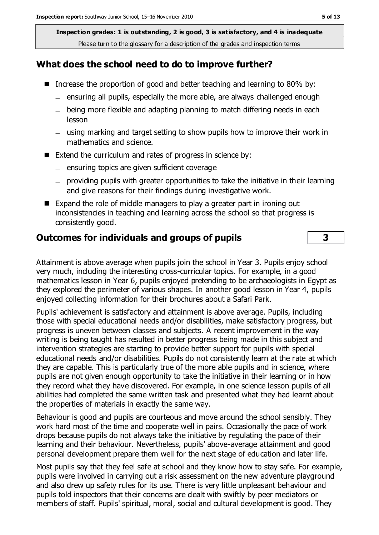## **What does the school need to do to improve further?**

- Increase the proportion of good and better teaching and learning to 80% by:
	- ensuring all pupils, especially the more able, are always challenged enough
	- being more flexible and adapting planning to match differing needs in each lesson
	- using marking and target setting to show pupils how to improve their work in mathematics and science.
- Extend the curriculum and rates of progress in science by:
	- $-$  ensuring topics are given sufficient coverage
	- $-$  providing pupils with greater opportunities to take the initiative in their learning and give reasons for their findings during investigative work.
- Expand the role of middle managers to play a greater part in ironing out inconsistencies in teaching and learning across the school so that progress is consistently good.

## **Outcomes for individuals and groups of pupils 3**

Attainment is above average when pupils join the school in Year 3. Pupils enjoy school very much, including the interesting cross-curricular topics. For example, in a good mathematics lesson in Year 6, pupils enjoyed pretending to be archaeologists in Egypt as they explored the perimeter of various shapes. In another good lesson in Year 4, pupils enjoyed collecting information for their brochures about a Safari Park.

Pupils' achievement is satisfactory and attainment is above average. Pupils, including those with special educational needs and/or disabilities, make satisfactory progress, but progress is uneven between classes and subjects. A recent improvement in the way writing is being taught has resulted in better progress being made in this subject and intervention strategies are starting to provide better support for pupils with special educational needs and/or disabilities. Pupils do not consistently learn at the rate at which they are capable. This is particularly true of the more able pupils and in science, where pupils are not given enough opportunity to take the initiative in their learning or in how they record what they have discovered. For example, in one science lesson pupils of all abilities had completed the same written task and presented what they had learnt about the properties of materials in exactly the same way.

Behaviour is good and pupils are courteous and move around the school sensibly. They work hard most of the time and cooperate well in pairs. Occasionally the pace of work drops because pupils do not always take the initiative by regulating the pace of their learning and their behaviour. Nevertheless, pupils' above-average attainment and good personal development prepare them well for the next stage of education and later life.

Most pupils say that they feel safe at school and they know how to stay safe. For example, pupils were involved in carrying out a risk assessment on the new adventure playground and also drew up safety rules for its use. There is very little unpleasant behaviour and pupils told inspectors that their concerns are dealt with swiftly by peer mediators or members of staff. Pupils' spiritual, moral, social and cultural development is good. They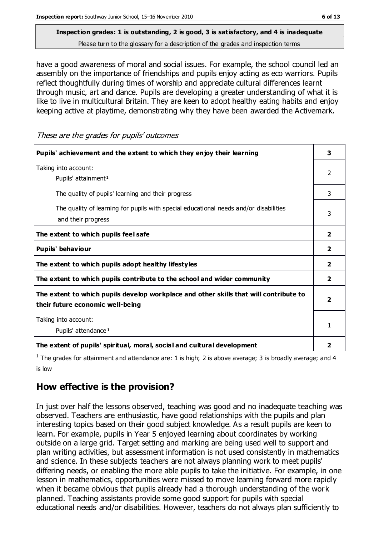have a good awareness of moral and social issues. For example, the school council led an assembly on the importance of friendships and pupils enjoy acting as eco warriors. Pupils reflect thoughtfully during times of worship and appreciate cultural differences learnt through music, art and dance. Pupils are developing a greater understanding of what it is like to live in multicultural Britain. They are keen to adopt healthy eating habits and enjoy keeping active at playtime, demonstrating why they have been awarded the Activemark.

These are the grades for pupils' outcomes

| Pupils' achievement and the extent to which they enjoy their learning                                                     | 3              |
|---------------------------------------------------------------------------------------------------------------------------|----------------|
| Taking into account:<br>Pupils' attainment <sup>1</sup>                                                                   |                |
| The quality of pupils' learning and their progress                                                                        | 3              |
| The quality of learning for pupils with special educational needs and/or disabilities<br>and their progress               |                |
| The extent to which pupils feel safe                                                                                      | $\overline{2}$ |
| Pupils' behaviour                                                                                                         | 2              |
| The extent to which pupils adopt healthy lifestyles                                                                       | 2              |
| The extent to which pupils contribute to the school and wider community                                                   | $\overline{2}$ |
| The extent to which pupils develop workplace and other skills that will contribute to<br>their future economic well-being |                |
| Taking into account:<br>Pupils' attendance <sup>1</sup>                                                                   |                |
| The extent of pupils' spiritual, moral, social and cultural development                                                   | 2              |

<sup>1</sup> The grades for attainment and attendance are: 1 is high; 2 is above average; 3 is broadly average; and 4 is low

# **How effective is the provision?**

In just over half the lessons observed, teaching was good and no inadequate teaching was observed. Teachers are enthusiastic, have good relationships with the pupils and plan interesting topics based on their good subject knowledge. As a result pupils are keen to learn. For example, pupils in Year 5 enjoyed learning about coordinates by working outside on a large grid. Target setting and marking are being used well to support and plan writing activities, but assessment information is not used consistently in mathematics and science. In these subjects teachers are not always planning work to meet pupils' differing needs, or enabling the more able pupils to take the initiative. For example, in one lesson in mathematics, opportunities were missed to move learning forward more rapidly when it became obvious that pupils already had a thorough understanding of the work planned. Teaching assistants provide some good support for pupils with special educational needs and/or disabilities. However, teachers do not always plan sufficiently to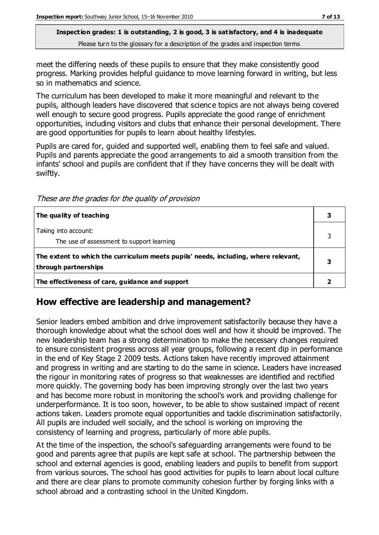meet the differing needs of these pupils to ensure that they make consistently good progress. Marking provides helpful guidance to move learning forward in writing, but less so in mathematics and science.

The curriculum has been developed to make it more meaningful and relevant to the pupils, although leaders have discovered that science topics are not always being covered well enough to secure good progress. Pupils appreciate the good range of enrichment opportunities, including visitors and clubs that enhance their personal development. There are good opportunities for pupils to learn about healthy lifestyles.

Pupils are cared for, guided and supported well, enabling them to feel safe and valued. Pupils and parents appreciate the good arrangements to aid a smooth transition from the infants' school and pupils are confident that if they have concerns they will be dealt with swiftly.

These are the grades for the quality of provision

| The quality of teaching                                                                                    |  |
|------------------------------------------------------------------------------------------------------------|--|
| Taking into account:<br>The use of assessment to support learning                                          |  |
| The extent to which the curriculum meets pupils' needs, including, where relevant,<br>through partnerships |  |
| The effectiveness of care, guidance and support                                                            |  |

#### **How effective are leadership and management?**

Senior leaders embed ambition and drive improvement satisfactorily because they have a thorough knowledge about what the school does well and how it should be improved. The new leadership team has a strong determination to make the necessary changes required to ensure consistent progress across all year groups, following a recent dip in performance in the end of Key Stage 2 2009 tests. Actions taken have recently improved attainment and progress in writing and are starting to do the same in science. Leaders have increased the rigour in monitoring rates of progress so that weaknesses are identified and rectified more quickly. The governing body has been improving strongly over the last two years and has become more robust in monitoring the school's work and providing challenge for underperformance. It is too soon, however, to be able to show sustained impact of recent actions taken. Leaders promote equal opportunities and tackle discrimination satisfactorily. All pupils are included well socially, and the school is working on improving the consistency of learning and progress, particularly of more able pupils.

At the time of the inspection, the school's safeguarding arrangements were found to be good and parents agree that pupils are kept safe at school. The partnership between the school and external agencies is good, enabling leaders and pupils to benefit from support from various sources. The school has good activities for pupils to learn about local culture and there are clear plans to promote community cohesion further by forging links with a school abroad and a contrasting school in the United Kingdom.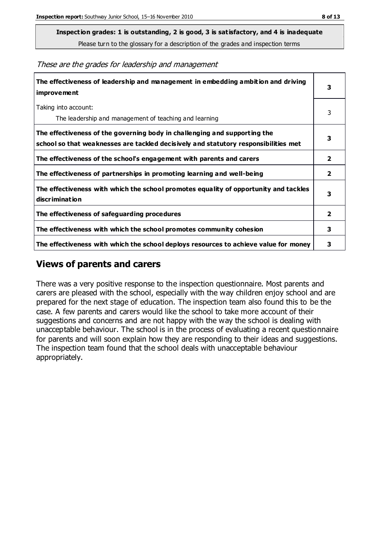**Inspection grades: 1 is outstanding, 2 is good, 3 is satisfactory, and 4 is inadequate**

Please turn to the glossary for a description of the grades and inspection terms

These are the grades for leadership and management

| The effectiveness of leadership and management in embedding ambition and driving<br>improvement                                                                  |                         |
|------------------------------------------------------------------------------------------------------------------------------------------------------------------|-------------------------|
| Taking into account:<br>The leadership and management of teaching and learning                                                                                   | 3                       |
| The effectiveness of the governing body in challenging and supporting the<br>school so that weaknesses are tackled decisively and statutory responsibilities met | 3                       |
| The effectiveness of the school's engagement with parents and carers                                                                                             | $\overline{2}$          |
| The effectiveness of partnerships in promoting learning and well-being                                                                                           | 2                       |
| The effectiveness with which the school promotes equality of opportunity and tackles<br>discrimination                                                           | 3                       |
| The effectiveness of safeguarding procedures                                                                                                                     | $\overline{\mathbf{2}}$ |
| The effectiveness with which the school promotes community cohesion                                                                                              |                         |
| The effectiveness with which the school deploys resources to achieve value for money                                                                             |                         |

### **Views of parents and carers**

There was a very positive response to the inspection questionnaire. Most parents and carers are pleased with the school, especially with the way children enjoy school and are prepared for the next stage of education. The inspection team also found this to be the case. A few parents and carers would like the school to take more account of their suggestions and concerns and are not happy with the way the school is dealing with unacceptable behaviour. The school is in the process of evaluating a recent questionnaire for parents and will soon explain how they are responding to their ideas and suggestions. The inspection team found that the school deals with unacceptable behaviour appropriately.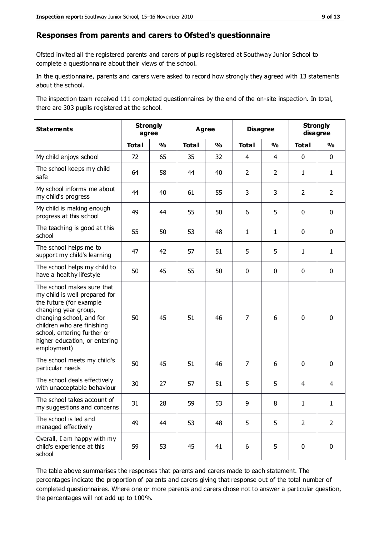#### **Responses from parents and carers to Ofsted's questionnaire**

Ofsted invited all the registered parents and carers of pupils registered at Southway Junior School to complete a questionnaire about their views of the school.

In the questionnaire, parents and carers were asked to record how strongly they agreed with 13 statements about the school.

The inspection team received 111 completed questionnaires by the end of the on-site inspection. In total, there are 303 pupils registered at the school.

| <b>Statements</b>                                                                                                                                                                                                                                       |              | <b>Strongly</b><br>agree |              | <b>Disagree</b><br><b>Agree</b> |                | <b>Strongly</b><br>disagree |                |                |
|---------------------------------------------------------------------------------------------------------------------------------------------------------------------------------------------------------------------------------------------------------|--------------|--------------------------|--------------|---------------------------------|----------------|-----------------------------|----------------|----------------|
|                                                                                                                                                                                                                                                         | <b>Total</b> | $\frac{1}{2}$            | <b>Total</b> | $\frac{0}{0}$                   | <b>Total</b>   | $\frac{0}{0}$               | <b>Total</b>   | $\frac{0}{0}$  |
| My child enjoys school                                                                                                                                                                                                                                  | 72           | 65                       | 35           | 32                              | $\overline{4}$ | $\overline{4}$              | $\mathbf 0$    | $\mathbf 0$    |
| The school keeps my child<br>safe                                                                                                                                                                                                                       | 64           | 58                       | 44           | 40                              | $\overline{2}$ | $\overline{2}$              | $\mathbf{1}$   | $\mathbf{1}$   |
| My school informs me about<br>my child's progress                                                                                                                                                                                                       | 44           | 40                       | 61           | 55                              | 3              | 3                           | $\overline{2}$ | $\overline{2}$ |
| My child is making enough<br>progress at this school                                                                                                                                                                                                    | 49           | 44                       | 55           | 50                              | 6              | 5                           | $\mathbf 0$    | $\mathbf 0$    |
| The teaching is good at this<br>school                                                                                                                                                                                                                  | 55           | 50                       | 53           | 48                              | $\mathbf{1}$   | $\mathbf{1}$                | $\mathbf 0$    | $\mathbf 0$    |
| The school helps me to<br>support my child's learning                                                                                                                                                                                                   | 47           | 42                       | 57           | 51                              | 5              | 5                           | $\mathbf{1}$   | $\mathbf{1}$   |
| The school helps my child to<br>have a healthy lifestyle                                                                                                                                                                                                | 50           | 45                       | 55           | 50                              | 0              | $\mathbf 0$                 | $\mathbf 0$    | $\mathbf 0$    |
| The school makes sure that<br>my child is well prepared for<br>the future (for example<br>changing year group,<br>changing school, and for<br>children who are finishing<br>school, entering further or<br>higher education, or entering<br>employment) | 50           | 45                       | 51           | 46                              | $\overline{7}$ | 6                           | $\mathbf 0$    | $\mathbf 0$    |
| The school meets my child's<br>particular needs                                                                                                                                                                                                         | 50           | 45                       | 51           | 46                              | $\overline{7}$ | 6                           | $\mathbf 0$    | $\mathbf 0$    |
| The school deals effectively<br>with unacceptable behaviour                                                                                                                                                                                             | 30           | 27                       | 57           | 51                              | 5              | 5                           | 4              | 4              |
| The school takes account of<br>my suggestions and concerns                                                                                                                                                                                              | 31           | 28                       | 59           | 53                              | 9              | 8                           | 1              | 1              |
| The school is led and<br>managed effectively                                                                                                                                                                                                            | 49           | 44                       | 53           | 48                              | 5              | 5                           | $\overline{2}$ | $\overline{2}$ |
| Overall, I am happy with my<br>child's experience at this<br>school                                                                                                                                                                                     | 59           | 53                       | 45           | 41                              | 6              | 5                           | $\mathbf 0$    | $\pmb{0}$      |

The table above summarises the responses that parents and carers made to each statement. The percentages indicate the proportion of parents and carers giving that response out of the total number of completed questionnaires. Where one or more parents and carers chose not to answer a particular question, the percentages will not add up to 100%.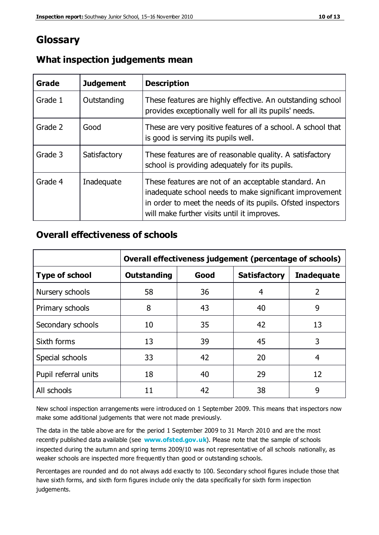# **Glossary**

| Grade   | <b>Judgement</b> | <b>Description</b>                                                                                                                                                                                                            |
|---------|------------------|-------------------------------------------------------------------------------------------------------------------------------------------------------------------------------------------------------------------------------|
| Grade 1 | Outstanding      | These features are highly effective. An outstanding school<br>provides exceptionally well for all its pupils' needs.                                                                                                          |
| Grade 2 | Good             | These are very positive features of a school. A school that<br>is good is serving its pupils well.                                                                                                                            |
| Grade 3 | Satisfactory     | These features are of reasonable quality. A satisfactory<br>school is providing adequately for its pupils.                                                                                                                    |
| Grade 4 | Inadequate       | These features are not of an acceptable standard. An<br>inadequate school needs to make significant improvement<br>in order to meet the needs of its pupils. Ofsted inspectors<br>will make further visits until it improves. |

## **What inspection judgements mean**

## **Overall effectiveness of schools**

|                       | Overall effectiveness judgement (percentage of schools) |      |                     |                   |
|-----------------------|---------------------------------------------------------|------|---------------------|-------------------|
| <b>Type of school</b> | <b>Outstanding</b>                                      | Good | <b>Satisfactory</b> | <b>Inadequate</b> |
| Nursery schools       | 58                                                      | 36   | 4                   | 2                 |
| Primary schools       | 8                                                       | 43   | 40                  | 9                 |
| Secondary schools     | 10                                                      | 35   | 42                  | 13                |
| Sixth forms           | 13                                                      | 39   | 45                  | 3                 |
| Special schools       | 33                                                      | 42   | 20                  | 4                 |
| Pupil referral units  | 18                                                      | 40   | 29                  | 12                |
| All schools           | 11                                                      | 42   | 38                  | 9                 |

New school inspection arrangements were introduced on 1 September 2009. This means that inspectors now make some additional judgements that were not made previously.

The data in the table above are for the period 1 September 2009 to 31 March 2010 and are the most recently published data available (see **[www.ofsted.gov.uk](http://www.ofsted.gov.uk/)**). Please note that the sample of schools inspected during the autumn and spring terms 2009/10 was not representative of all schools nationally, as weaker schools are inspected more frequently than good or outstanding schools.

Percentages are rounded and do not always add exactly to 100. Secondary school figures include those that have sixth forms, and sixth form figures include only the data specifically for sixth form inspection judgements.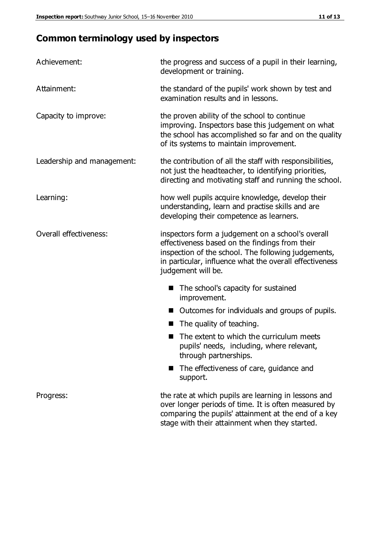# **Common terminology used by inspectors**

| Achievement:                  | the progress and success of a pupil in their learning,<br>development or training.                                                                                                                                                          |  |  |
|-------------------------------|---------------------------------------------------------------------------------------------------------------------------------------------------------------------------------------------------------------------------------------------|--|--|
| Attainment:                   | the standard of the pupils' work shown by test and<br>examination results and in lessons.                                                                                                                                                   |  |  |
| Capacity to improve:          | the proven ability of the school to continue<br>improving. Inspectors base this judgement on what<br>the school has accomplished so far and on the quality<br>of its systems to maintain improvement.                                       |  |  |
| Leadership and management:    | the contribution of all the staff with responsibilities,<br>not just the headteacher, to identifying priorities,<br>directing and motivating staff and running the school.                                                                  |  |  |
| Learning:                     | how well pupils acquire knowledge, develop their<br>understanding, learn and practise skills and are<br>developing their competence as learners.                                                                                            |  |  |
| <b>Overall effectiveness:</b> | inspectors form a judgement on a school's overall<br>effectiveness based on the findings from their<br>inspection of the school. The following judgements,<br>in particular, influence what the overall effectiveness<br>judgement will be. |  |  |
|                               | The school's capacity for sustained<br>improvement.                                                                                                                                                                                         |  |  |
|                               | Outcomes for individuals and groups of pupils.                                                                                                                                                                                              |  |  |
|                               | The quality of teaching.                                                                                                                                                                                                                    |  |  |
|                               | The extent to which the curriculum meets<br>pupils' needs, including, where relevant,<br>through partnerships.                                                                                                                              |  |  |
|                               | The effectiveness of care, guidance and<br>support.                                                                                                                                                                                         |  |  |
| Progress:                     | the rate at which pupils are learning in lessons and<br>over longer periods of time. It is often measured by<br>comparing the pupils' attainment at the end of a key                                                                        |  |  |

stage with their attainment when they started.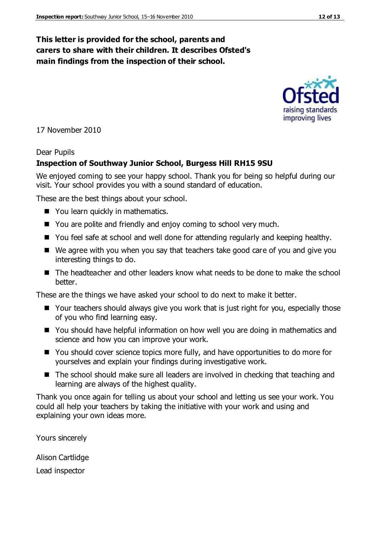## **This letter is provided for the school, parents and carers to share with their children. It describes Ofsted's main findings from the inspection of their school.**

17 November 2010

#### Dear Pupils

#### **Inspection of Southway Junior School, Burgess Hill RH15 9SU**

We enjoyed coming to see your happy school. Thank you for being so helpful during our visit. Your school provides you with a sound standard of education.

These are the best things about your school.

- You learn quickly in mathematics.
- You are polite and friendly and enjoy coming to school very much.
- You feel safe at school and well done for attending regularly and keeping healthy.
- We agree with you when you say that teachers take good care of you and give you interesting things to do.
- The headteacher and other leaders know what needs to be done to make the school better.

These are the things we have asked your school to do next to make it better.

- Your teachers should always give you work that is just right for you, especially those of you who find learning easy.
- You should have helpful information on how well you are doing in mathematics and science and how you can improve your work.
- You should cover science topics more fully, and have opportunities to do more for yourselves and explain your findings during investigative work.
- The school should make sure all leaders are involved in checking that teaching and learning are always of the highest quality.

Thank you once again for telling us about your school and letting us see your work. You could all help your teachers by taking the initiative with your work and using and explaining your own ideas more.

Yours sincerely

Alison Cartlidge Lead inspector